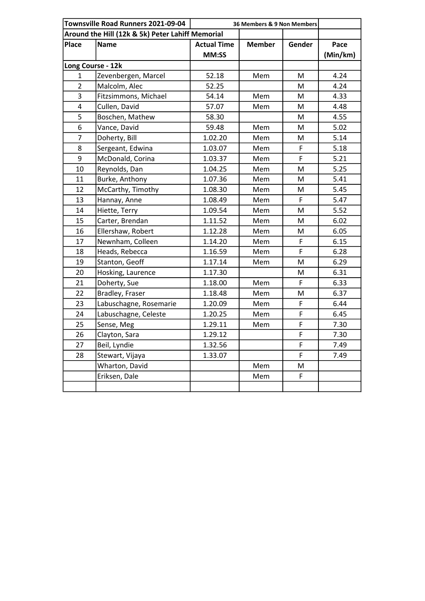| Townsville Road Runners 2021-09-04 |                                                  | 36 Members & 9 Non Members |               |        |          |
|------------------------------------|--------------------------------------------------|----------------------------|---------------|--------|----------|
|                                    | Around the Hill (12k & 5k) Peter Lahiff Memorial |                            |               |        |          |
| <b>Place</b>                       | <b>Name</b>                                      | <b>Actual Time</b>         | <b>Member</b> | Gender | Pace     |
|                                    |                                                  | MM:SS                      |               |        | (Min/km) |
| Long Course - 12k                  |                                                  |                            |               |        |          |
| 1                                  | Zevenbergen, Marcel                              | 52.18                      | Mem           | M      | 4.24     |
| $\overline{2}$                     | Malcolm, Alec                                    | 52.25                      |               | M      | 4.24     |
| 3                                  | Fitzsimmons, Michael                             | 54.14                      | Mem           | M      | 4.33     |
| 4                                  | Cullen, David                                    | 57.07                      | Mem           | M      | 4.48     |
| 5                                  | Boschen, Mathew                                  | 58.30                      |               | M      | 4.55     |
| 6                                  | Vance, David                                     | 59.48                      | Mem           | M      | 5.02     |
| $\overline{7}$                     | Doherty, Bill                                    | 1.02.20                    | Mem           | M      | 5.14     |
| 8                                  | Sergeant, Edwina                                 | 1.03.07                    | Mem           | F      | 5.18     |
| 9                                  | McDonald, Corina                                 | 1.03.37                    | Mem           | F      | 5.21     |
| 10                                 | Reynolds, Dan                                    | 1.04.25                    | Mem           | M      | 5.25     |
| 11                                 | Burke, Anthony                                   | 1.07.36                    | Mem           | M      | 5.41     |
| 12                                 | McCarthy, Timothy                                | 1.08.30                    | Mem           | M      | 5.45     |
| 13                                 | Hannay, Anne                                     | 1.08.49                    | Mem           | F      | 5.47     |
| 14                                 | Hiette, Terry                                    | 1.09.54                    | Mem           | M      | 5.52     |
| 15                                 | Carter, Brendan                                  | 1.11.52                    | Mem           | M      | 6.02     |
| 16                                 | Ellershaw, Robert                                | 1.12.28                    | Mem           | M      | 6.05     |
| 17                                 | Newnham, Colleen                                 | 1.14.20                    | Mem           | F      | 6.15     |
| 18                                 | Heads, Rebecca                                   | 1.16.59                    | Mem           | F      | 6.28     |
| 19                                 | Stanton, Geoff                                   | 1.17.14                    | Mem           | M      | 6.29     |
| 20                                 | Hosking, Laurence                                | 1.17.30                    |               | M      | 6.31     |
| 21                                 | Doherty, Sue                                     | 1.18.00                    | Mem           | F      | 6.33     |
| 22                                 | Bradley, Fraser                                  | 1.18.48                    | Mem           | M      | 6.37     |
| 23                                 | Labuschagne, Rosemarie                           | 1.20.09                    | Mem           | F      | 6.44     |
| 24                                 | Labuschagne, Celeste                             | 1.20.25                    | Mem           | F      | 6.45     |
| 25                                 | Sense, Meg                                       | 1.29.11                    | Mem           | F      | 7.30     |
| 26                                 | Clayton, Sara                                    | 1.29.12                    |               | F      | 7.30     |
| 27                                 | Beil, Lyndie                                     | 1.32.56                    |               | F      | 7.49     |
| 28                                 | Stewart, Vijaya                                  | 1.33.07                    |               | F      | 7.49     |
|                                    | Wharton, David                                   |                            | Mem           | M      |          |
|                                    | Eriksen, Dale                                    |                            | Mem           | F      |          |
|                                    |                                                  |                            |               |        |          |